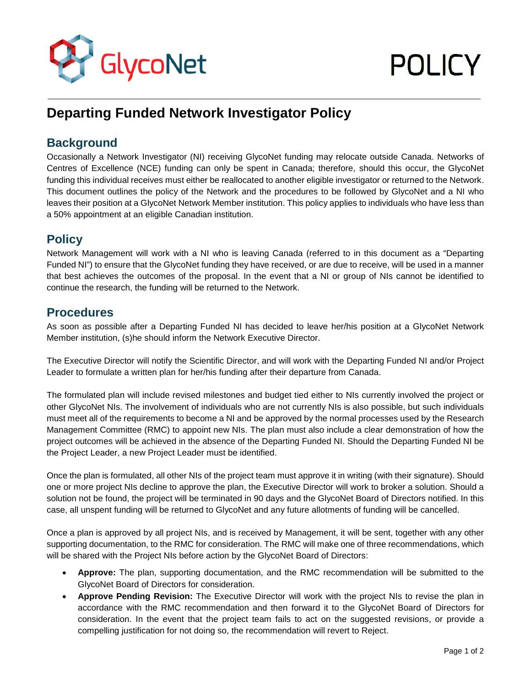

# **POLICY**

## **Departing Funded Network Investigator Policy**

#### **Background**

Occasionally a Network Investigator (NI) receiving GlycoNet funding may relocate outside Canada. Networks of Centres of Excellence (NCE) funding can only be spent in Canada; therefore, should this occur, the GlycoNet funding this individual receives must either be reallocated to another eligible investigator or returned to the Network. This document outlines the policy of the Network and the procedures to be followed by GlycoNet and a NI who leaves their position at a GlycoNet Network Member institution. This policy applies to individuals who have less than a 50% appointment at an eligible Canadian institution.

### **Policy**

Network Management will work with a NI who is leaving Canada (referred to in this document as a "Departing Funded NI") to ensure that the GlycoNet funding they have received, or are due to receive, will be used in a manner that best achieves the outcomes of the proposal. In the event that a NI or group of NIs cannot be identified to continue the research, the funding will be returned to the Network.

#### **Procedures**

As soon as possible after a Departing Funded NI has decided to leave her/his position at a GlycoNet Network Member institution, (s)he should inform the Network Executive Director.

The Executive Director will notify the Scientific Director, and will work with the Departing Funded NI and/or Project Leader to formulate a written plan for her/his funding after their departure from Canada.

The formulated plan will include revised milestones and budget tied either to NIs currently involved the project or other GlycoNet NIs. The involvement of individuals who are not currently NIs is also possible, but such individuals must meet all of the requirements to become a NI and be approved by the normal processes used by the Research Management Committee (RMC) to appoint new NIs. The plan must also include a clear demonstration of how the project outcomes will be achieved in the absence of the Departing Funded NI. Should the Departing Funded NI be the Project Leader, a new Project Leader must be identified.

Once the plan is formulated, all other NIs of the project team must approve it in writing (with their signature). Should one or more project NIs decline to approve the plan, the Executive Director will work to broker a solution. Should a solution not be found, the project will be terminated in 90 days and the GlycoNet Board of Directors notified. In this case, all unspent funding will be returned to GlycoNet and any future allotments of funding will be cancelled.

Once a plan is approved by all project NIs, and is received by Management, it will be sent, together with any other supporting documentation, to the RMC for consideration. The RMC will make one of three recommendations, which will be shared with the Project NIs before action by the GlycoNet Board of Directors:

- **Approve:** The plan, supporting documentation, and the RMC recommendation will be submitted to the GlycoNet Board of Directors for consideration.
- **Approve Pending Revision:** The Executive Director will work with the project NIs to revise the plan in accordance with the RMC recommendation and then forward it to the GlycoNet Board of Directors for consideration. In the event that the project team fails to act on the suggested revisions, or provide a compelling justification for not doing so, the recommendation will revert to Reject.